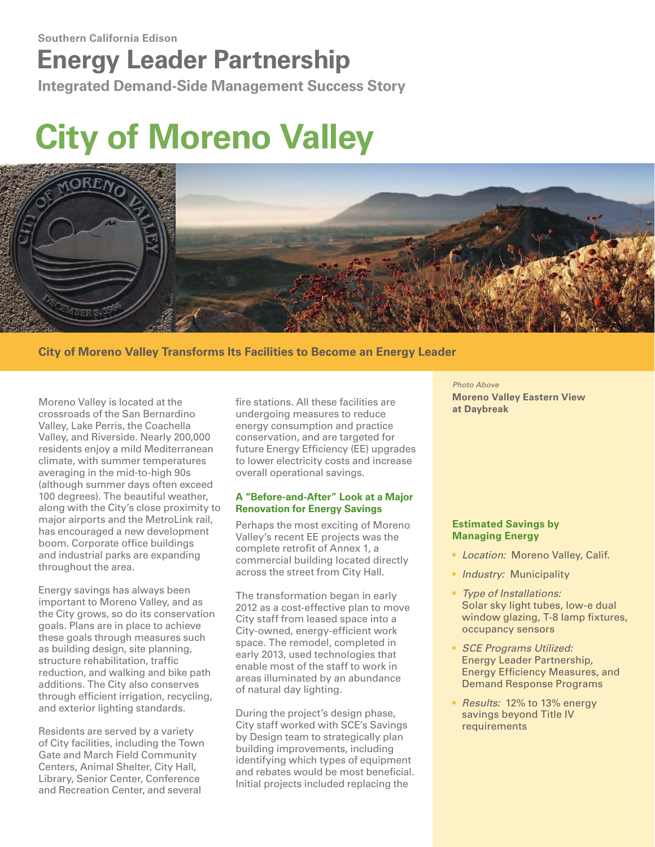## **Energy Leader Partnership**

**Integrated Demand-Side Management Success Story**

# **City of Moreno Valley**



**City of Moreno Valley Transforms Its Facilities to Become an Energy Leader**

Moreno Valley is located at the crossroads of the San Bernardino Valley, Lake Perris, the Coachella Valley, and Riverside. Nearly 200,000 residents enjoy a mild Mediterranean climate, with summer temperatures averaging in the mid-to-high 90s (although summer days often exceed 100 degrees). The beautiful weather, along with the City's close proximity to major airports and the MetroLink rail, has encouraged a new development boom. Corporate office buildings and industrial parks are expanding throughout the area.

Energy savings has always been important to Moreno Valley, and as the City grows, so do its conservation goals. Plans are in place to achieve these goals through measures such as building design, site planning, structure rehabilitation, traffic reduction, and walking and bike path additions. The City also conserves through efficient irrigation, recycling, and exterior lighting standards.

Residents are served by a variety of City facilities, including the Town Gate and March Field Community Centers, Animal Shelter, City Hall, Library, Senior Center, Conference and Recreation Center, and several

fire stations. All these facilities are undergoing measures to reduce energy consumption and practice conservation, and are targeted for future Energy Efficiency (EE) upgrades to lower electricity costs and increase overall operational savings.

#### **A "Before-and-After" Look at a Major Renovation for Energy Savings**

Perhaps the most exciting of Moreno Valley's recent EE projects was the complete retrofit of Annex 1, a commercial building located directly across the street from City Hall.

The transformation began in early 2012 as a cost-effective plan to move City staff from leased space into a City-owned, energy-efficient work space. The remodel, completed in early 2013, used technologies that enable most of the staff to work in areas illuminated by an abundance of natural day lighting.

During the project's design phase, City staff worked with SCE's Savings by Design team to strategically plan building improvements, including identifying which types of equipment and rebates would be most beneficial. Initial projects included replacing the

*Photo Above* **Moreno Valley Eastern View at Daybreak**

#### **Estimated Savings by Managing Energy**

- *Location:* Moreno Valley, Calif.
- *Industry:* Municipality
- *Type of Installations:* Solar sky light tubes, low-e dual window glazing, T-8 lamp fixtures, occupancy sensors
- *SCE Programs Utilized:* Energy Leader Partnership, Energy Efficiency Measures, and Demand Response Programs
- *Results:* 12% to 13% energy savings beyond Title IV requirements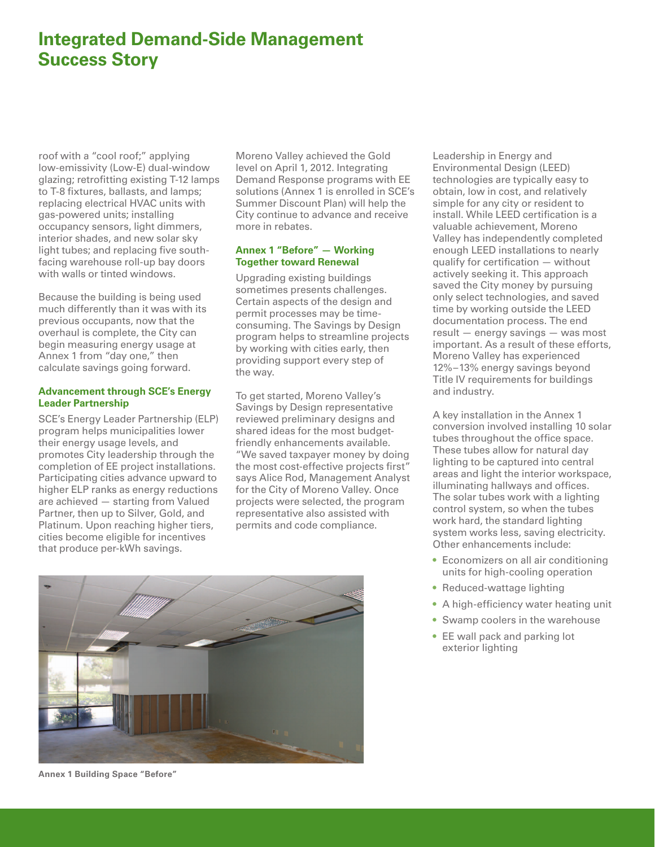### **Integrated Demand-Side Management Success Story**

roof with a "cool roof;" applying low-emissivity (Low-E) dual-window glazing; retrofitting existing T-12 lamps to T-8 fixtures, ballasts, and lamps; replacing electrical HVAC units with gas-powered units; installing occupancy sensors, light dimmers, interior shades, and new solar sky light tubes; and replacing five southfacing warehouse roll-up bay doors with walls or tinted windows.

Because the building is being used much differently than it was with its previous occupants, now that the overhaul is complete, the City can begin measuring energy usage at Annex 1 from "day one," then calculate savings going forward.

#### **Advancement through SCE's Energy Leader Partnership**

SCE's Energy Leader Partnership (ELP) program helps municipalities lower their energy usage levels, and promotes City leadership through the completion of EE project installations. Participating cities advance upward to higher ELP ranks as energy reductions are achieved — starting from Valued Partner, then up to Silver, Gold, and Platinum. Upon reaching higher tiers, cities become eligible for incentives that produce per-kWh savings.

Moreno Valley achieved the Gold level on April 1, 2012. Integrating Demand Response programs with EE solutions (Annex 1 is enrolled in SCE's Summer Discount Plan) will help the City continue to advance and receive more in rebates.

#### **Annex 1 "Before" — Working Together toward Renewal**

Upgrading existing buildings sometimes presents challenges. Certain aspects of the design and permit processes may be timeconsuming. The Savings by Design program helps to streamline projects by working with cities early, then providing support every step of the way.

To get started, Moreno Valley's Savings by Design representative reviewed preliminary designs and shared ideas for the most budgetfriendly enhancements available. "We saved taxpayer money by doing the most cost-effective projects first" says Alice Rod, Management Analyst for the City of Moreno Valley. Once projects were selected, the program representative also assisted with permits and code compliance.



Leadership in Energy and Environmental Design (LEED) technologies are typically easy to obtain, low in cost, and relatively simple for any city or resident to install. While LEED certification is a valuable achievement, Moreno Valley has independently completed enough LEED installations to nearly qualify for certification — without actively seeking it. This approach saved the City money by pursuing only select technologies, and saved time by working outside the LEED documentation process. The end result — energy savings — was most important. As a result of these efforts, Moreno Valley has experienced 12%–13% energy savings beyond Title IV requirements for buildings and industry.

A key installation in the Annex 1 conversion involved installing 10 solar tubes throughout the office space. These tubes allow for natural day lighting to be captured into central areas and light the interior workspace, illuminating hallways and offices. The solar tubes work with a lighting control system, so when the tubes work hard, the standard lighting system works less, saving electricity. Other enhancements include:

- Economizers on all air conditioning units for high-cooling operation
- Reduced-wattage lighting
- A high-efficiency water heating unit
- Swamp coolers in the warehouse
- EE wall pack and parking lot exterior lighting

**Annex 1 Building Space "Before"**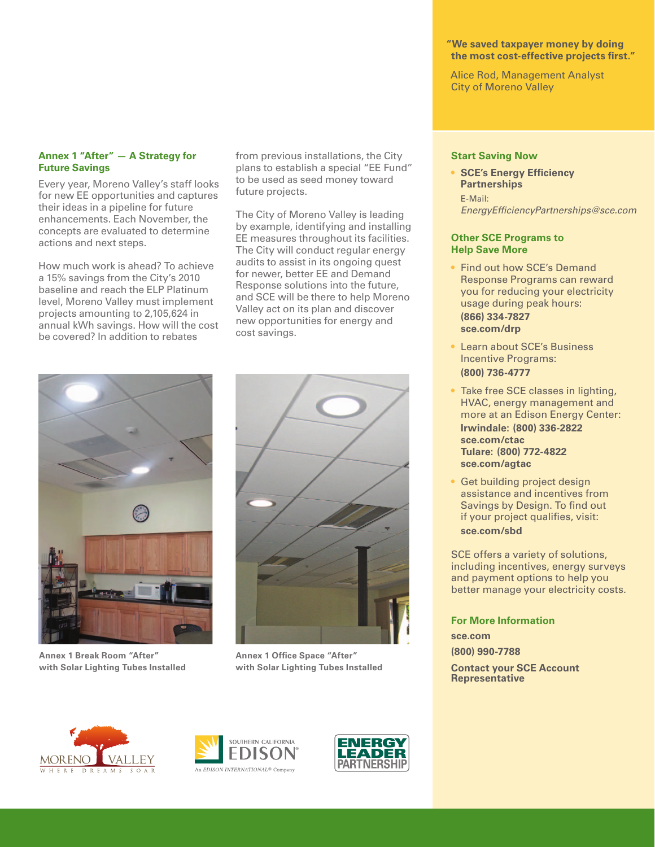#### **"We saved taxpayer money by doing the most cost-effective projects first."**

Alice Rod, Management Analyst City of Moreno Valley

#### **Annex 1 "After" — A Strategy for Future Savings**

Every year, Moreno Valley's staff looks for new EE opportunities and captures their ideas in a pipeline for future enhancements. Each November, the concepts are evaluated to determine actions and next steps.

How much work is ahead? To achieve a 15% savings from the City's 2010 baseline and reach the ELP Platinum level, Moreno Valley must implement projects amounting to 2,105,624 in annual kWh savings. How will the cost be covered? In addition to rebates

from previous installations, the City plans to establish a special "EE Fund" to be used as seed money toward future projects.

The City of Moreno Valley is leading by example, identifying and installing EE measures throughout its facilities. The City will conduct regular energy audits to assist in its ongoing quest for newer, better EE and Demand Response solutions into the future, and SCE will be there to help Moreno Valley act on its plan and discover new opportunities for energy and cost savings.



**Annex 1 Break Room "After" with Solar Lighting Tubes Installed**



**Annex 1 Office Space "After" with Solar Lighting Tubes Installed**

#### **Start Saving Now**

• **SCE's Energy Efficiency Partnerships** E-Mail:

*EnergyEfficiencyPartnerships@sce.com*

#### **Other SCE Programs to Help Save More**

- Find out how SCE's Demand Response Programs can reward you for reducing your electricity usage during peak hours: **(866) 334-7827 sce.com/drp**
- Learn about SCE's Business Incentive Programs: **(800) 736-4777**
- Take free SCE classes in lighting, HVAC, energy management and more at an Edison Energy Center: **Irwindale: (800) 336-2822 sce.com/ctac Tulare: (800) 772-4822 sce.com/agtac**
- Get building project design assistance and incentives from Savings by Design. To find out if your project qualifies, visit: **sce.com/sbd**

SCE offers a variety of solutions, including incentives, energy surveys and payment options to help you better manage your electricity costs.

**For More Information**

**sce.com (800) 990-7788 Contact your SCE Account** 

**Representative**

**MORENO**